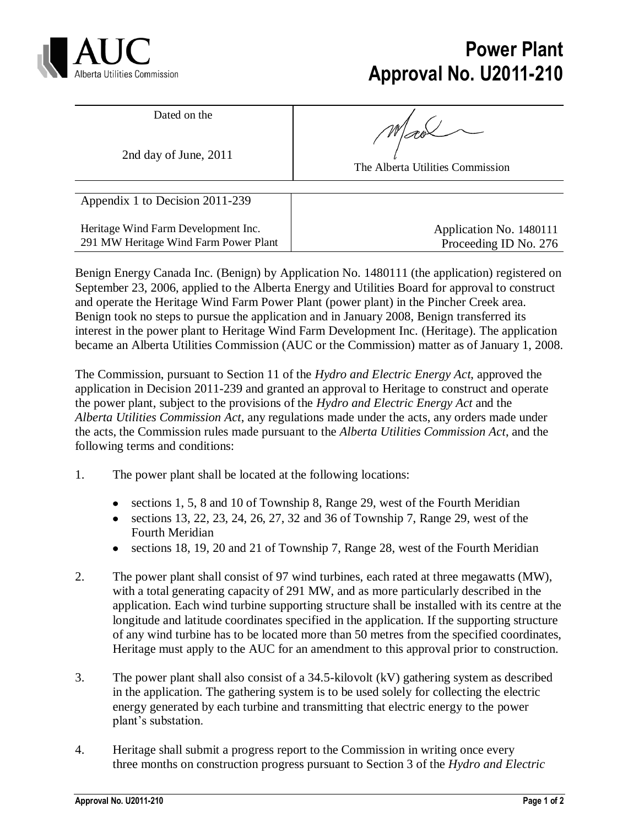

## **Power Plant Approval No. U2011-210**

Dated on the

2nd day of June, 2011

The Alberta Utilities Commission

Appendix 1 to Decision 2011-239

Heritage Wind Farm Development Inc. 291 MW Heritage Wind Farm Power Plant Application No. 1480111 Proceeding ID No. 276

Benign Energy Canada Inc. (Benign) by Application No. 1480111 (the application) registered on September 23, 2006, applied to the Alberta Energy and Utilities Board for approval to construct and operate the Heritage Wind Farm Power Plant (power plant) in the Pincher Creek area. Benign took no steps to pursue the application and in January 2008, Benign transferred its interest in the power plant to Heritage Wind Farm Development Inc. (Heritage). The application became an Alberta Utilities Commission (AUC or the Commission) matter as of January 1, 2008.

The Commission, pursuant to Section 11 of the *Hydro and Electric Energy Act*, approved the application in Decision 2011-239 and granted an approval to Heritage to construct and operate the power plant, subject to the provisions of the *Hydro and Electric Energy Act* and the *Alberta Utilities Commission Act*, any regulations made under the acts, any orders made under the acts, the Commission rules made pursuant to the *Alberta Utilities Commission Act*, and the following terms and conditions:

- 1. The power plant shall be located at the following locations:
	- $\bullet$  sections 1, 5, 8 and 10 of Township 8, Range 29, west of the Fourth Meridian
	- sections 13, 22, 23, 24, 26, 27, 32 and 36 of Township 7, Range 29, west of the Fourth Meridian
	- sections 18, 19, 20 and 21 of Township 7, Range 28, west of the Fourth Meridian
- 2. The power plant shall consist of 97 wind turbines, each rated at three megawatts (MW), with a total generating capacity of 291 MW, and as more particularly described in the application. Each wind turbine supporting structure shall be installed with its centre at the longitude and latitude coordinates specified in the application. If the supporting structure of any wind turbine has to be located more than 50 metres from the specified coordinates, Heritage must apply to the AUC for an amendment to this approval prior to construction.
- 3. The power plant shall also consist of a 34.5-kilovolt (kV) gathering system as described in the application. The gathering system is to be used solely for collecting the electric energy generated by each turbine and transmitting that electric energy to the power plant's substation.
- 4. Heritage shall submit a progress report to the Commission in writing once every three months on construction progress pursuant to Section 3 of the *Hydro and Electric*